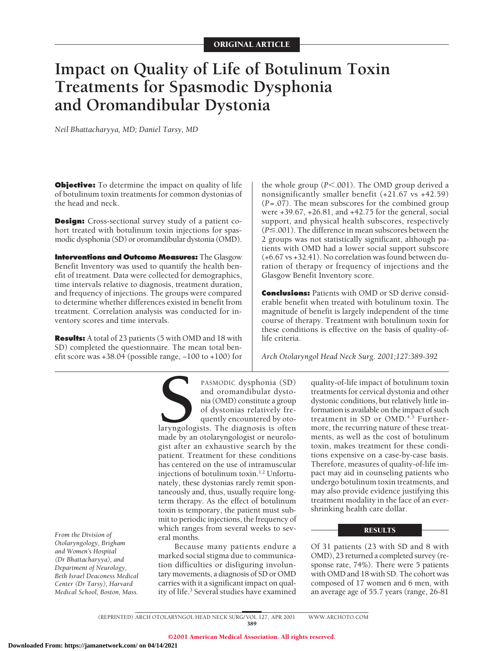# **Impact on Quality of Life of Botulinum Toxin Treatments for Spasmodic Dysphonia and Oromandibular Dystonia**

*Neil Bhattacharyya, MD; Daniel Tarsy, MD*

**Objective:** To determine the impact on quality of life of botulinum toxin treatments for common dystonias of the head and neck.

**Design:** Cross-sectional survey study of a patient cohort treated with botulinum toxin injections for spasmodic dysphonia (SD) or oromandibular dystonia (OMD).

**Interventions and Outcome Measures:** The Glasgow Benefit Inventory was used to quantify the health benefit of treatment. Data were collected for demographics, time intervals relative to diagnosis, treatment duration, and frequency of injections. The groups were compared to determine whether differences existed in benefit from treatment. Correlation analysis was conducted for inventory scores and time intervals.

**Results:** A total of 23 patients (5 with OMD and 18 with SD) completed the questionnaire. The mean total benefit score was +38.04 (possible range, −100 to +100) for

the whole group  $(P<.001)$ . The OMD group derived a nonsignificantly smaller benefit  $(+21.67 \text{ vs } +42.59)$ (*P*=.07). The mean subscores for the combined group were +39.67, +26.81, and +42.75 for the general, social support, and physical health subscores, respectively  $(P \leq .001)$ . The difference in mean subscores between the 2 groups was not statistically significant, although patients with OMD had a lower social support subscore (+6.67 vs +32.41). No correlation was found between duration of therapy or frequency of injections and the Glasgow Benefit Inventory score.

**Conclusions:** Patients with OMD or SD derive considerable benefit when treated with botulinum toxin. The magnitude of benefit is largely independent of the time course of therapy. Treatment with botulinum toxin for these conditions is effective on the basis of quality-oflife criteria.

*Arch Otolaryngol Head Neck Surg. 2001;127:389-392*

*From the Division of Otolaryngology, Brigham and Women's Hospital (Dr Bhattacharyya), and Department of Neurology, Beth Israel Deaconess Medical Center (Dr Tarsy), Harvard Medical School, Boston, Mass.*

PASMODIC dysphonia (SD)<br>
and oromandibular dysto-<br>
nia (OMD) constitute a group<br>
of dystonias relatively fre-<br>
quently encountered by oto-<br>
laryngologists. The diagnosis is often<br>
made by an otolaryngologist or neuroloand oromandibular dystonia (OMD) constitute a group of dystonias relatively frequently encountered by otolaryngologists. The diagnosis is often made by an otolaryngologist or neurologist after an exhaustive search by the patient. Treatment for these conditions has centered on the use of intramuscular injections of botulinum toxin.<sup>1,2</sup> Unfortunately, these dystonias rarely remit spontaneously and, thus, usually require longterm therapy. As the effect of botulinum toxin is temporary, the patient must submit to periodic injections, the frequency of which ranges from several weeks to several months.

Because many patients endure a marked social stigma due to communication difficulties or disfiguring involuntary movements, a diagnosis of SD or OMD carries with it a significant impact on quality of life.<sup>3</sup> Several studies have examined quality-of-life impact of botulinum toxin treatments for cervical dystonia and other dystonic conditions, but relatively little information is available on the impact of such treatment in SD or OMD.<sup>4,5</sup> Furthermore, the recurring nature of these treatments, as well as the cost of botulinum toxin, makes treatment for these conditions expensive on a case-by-case basis. Therefore, measures of quality-of-life impact may aid in counseling patients who undergo botulinum toxin treatments, and may also provide evidence justifying this treatment modality in the face of an evershrinking health care dollar.

### **RESULTS**

Of 31 patients (23 with SD and 8 with OMD), 23 returned a completed survey (response rate, 74%). There were 5 patients with OMD and 18 with SD. The cohort was composed of 17 women and 6 men, with an average age of 55.7 years (range, 26-81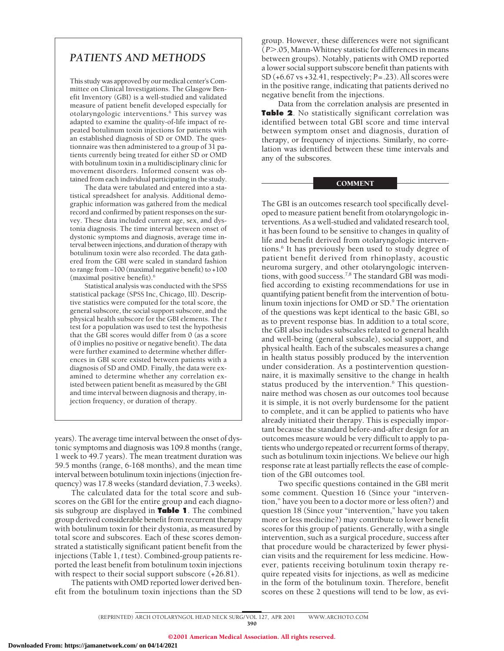## *PATIENTS AND METHODS*

This study was approved by our medical center's Committee on Clinical Investigations. The Glasgow Benefit Inventory (GBI) is a well-studied and validated measure of patient benefit developed especially for otolaryngologic interventions.6 This survey was adapted to examine the quality-of-life impact of repeated botulinum toxin injections for patients with an established diagnosis of SD or OMD. The questionnaire was then administered to a group of 31 patients currently being treated for either SD or OMD with botulinum toxin in a multidisciplinary clinic for movement disorders. Informed consent was obtained from each individual participating in the study.

The data were tabulated and entered into a statistical spreadsheet for analysis. Additional demographic information was gathered from the medical record and confirmed by patient responses on the survey. These data included current age, sex, and dystonia diagnosis. The time interval between onset of dystonic symptoms and diagnosis, average time interval between injections, and duration of therapy with botulinum toxin were also recorded. The data gathered from the GBI were scaled in standard fashion to range from −100 (maximal negative benefit) to +100 (maximal positive benefit).6

Statistical analysis was conducted with the SPSS statistical package (SPSS Inc, Chicago, Ill). Descriptive statistics were computed for the total score, the general subscore, the social support subscore, and the physical health subscore for the GBI elements. The *t* test for a population was used to test the hypothesis that the GBI scores would differ from 0 (as a score of 0 implies no positive or negative benefit). The data were further examined to determine whether differences in GBI score existed between patients with a diagnosis of SD and OMD. Finally, the data were examined to determine whether any correlation existed between patient benefit as measured by the GBI and time interval between diagnosis and therapy, injection frequency, or duration of therapy.

years). The average time interval between the onset of dystonic symptoms and diagnosis was 109.8 months (range, 1 week to 49.7 years). The mean treatment duration was 59.5 months (range, 6-168 months), and the mean time interval between botulinum toxin injections (injection frequency) was 17.8 weeks (standard deviation, 7.3 weeks).

The calculated data for the total score and subscores on the GBI for the entire group and each diagnosis subgroup are displayed in **Table 1**. The combined group derived considerable benefit from recurrent therapy with botulinum toxin for their dystonia, as measured by total score and subscores. Each of these scores demonstrated a statistically significant patient benefit from the injections (Table 1, *t* test). Combined-group patients reported the least benefit from botulinum toxin injections with respect to their social support subscore  $(+26.81)$ .

The patients with OMD reported lower derived benefit from the botulinum toxin injections than the SD group. However, these differences were not significant (*P*..05, Mann-Whitney statistic for differences in means between groups). Notably, patients with OMD reported a lower social support subscore benefit than patients with SD (+6.67 vs +32.41, respectively; *P*=.23). All scores were in the positive range, indicating that patients derived no negative benefit from the injections.

Data from the correlation analysis are presented in **Table 2**. No statistically significant correlation was identified between total GBI score and time interval between symptom onset and diagnosis, duration of therapy, or frequency of injections. Similarly, no correlation was identified between these time intervals and any of the subscores.

#### **COMMENT**

The GBI is an outcomes research tool specifically developed to measure patient benefit from otolaryngologic interventions. As a well-studied and validated research tool, it has been found to be sensitive to changes in quality of life and benefit derived from otolaryngologic interventions.6 It has previously been used to study degree of patient benefit derived from rhinoplasty, acoustic neuroma surgery, and other otolaryngologic interventions, with good success.<sup>7,8</sup> The standard GBI was modified according to existing recommendations for use in quantifying patient benefit from the intervention of botulinum toxin injections for OMD or SD.<sup>9</sup> The orientation of the questions was kept identical to the basic GBI, so as to prevent response bias. In addition to a total score, the GBI also includes subscales related to general health and well-being (general subscale), social support, and physical health. Each of the subscales measures a change in health status possibly produced by the intervention under consideration. As a postintervention questionnaire, it is maximally sensitive to the change in health status produced by the intervention.<sup>6</sup> This questionnaire method was chosen as our outcomes tool because it is simple, it is not overly burdensome for the patient to complete, and it can be applied to patients who have already initiated their therapy. This is especially important because the standard before-and-after design for an outcomes measure would be very difficult to apply to patients who undergo repeated or recurrent forms of therapy, such as botulinum toxin injections. We believe our high response rate at least partially reflects the ease of completion of the GBI outcomes tool.

Two specific questions contained in the GBI merit some comment. Question 16 (Since your "intervention," have you been to a doctor more or less often?) and question 18 (Since your "intervention," have you taken more or less medicine?) may contribute to lower benefit scores for this group of patients. Generally, with a single intervention, such as a surgical procedure, success after that procedure would be characterized by fewer physician visits and the requirement for less medicine. However, patients receiving botulinum toxin therapy require repeated visits for injections, as well as medicine in the form of the botulinum toxin. Therefore, benefit scores on these 2 questions will tend to be low, as evi-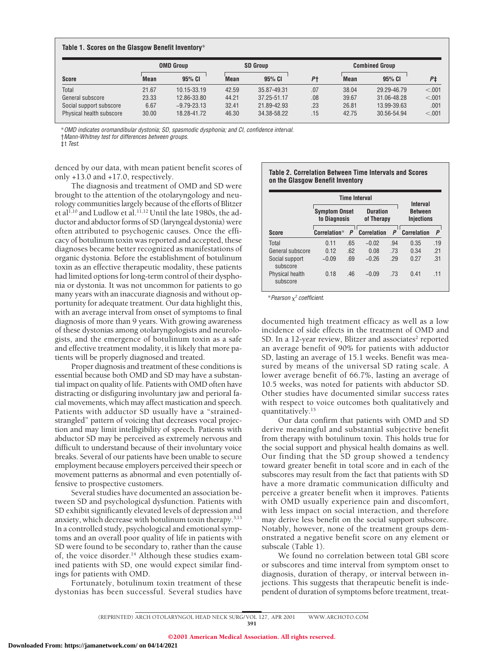| <b>Score</b>             | <b>OMD Group</b> |                 | <b>SD Group</b> |             |                | <b>Combined Group</b> |             |         |
|--------------------------|------------------|-----------------|-----------------|-------------|----------------|-----------------------|-------------|---------|
|                          | <b>Mean</b>      | 95% CI          | <b>Mean</b>     | 95% CI      | P <sup>+</sup> | <b>Mean</b>           | 95% CI      | P‡      |
| Total                    | 21.67            | 10.15-33.19     | 42.59           | 35.87-49.31 | .07            | 38.04                 | 29.29-46.79 | < 0.001 |
| General subscore         | 23.33            | 12.86-33.80     | 44.21           | 37.25-51.17 | .08            | 39.67                 | 31.06-48.28 | < .001  |
| Social support subscore  | 6.67             | $-9.79 - 23.13$ | 32.41           | 21.89-42.93 | .23            | 26.81                 | 13.99-39.63 | .001    |
| Physical health subscore | 30.00            | 18.28-41.72     | 46.30           | 34.38-58.22 | .15            | 42.75                 | 30.56-54.94 | < 0.001 |

\*OMD indicates oromandibular dystonia; SD, spasmodic dysphonia; and CI, confidence interval.

†Mann-Whitney test for differences between groups.

‡ t Test.

denced by our data, with mean patient benefit scores of only +13.0 and +17.0, respectively.

The diagnosis and treatment of OMD and SD were brought to the attention of the otolaryngology and neurology communities largely because of the efforts of Blitzer et al<sup>1,10</sup> and Ludlow et al.<sup>11,12</sup> Until the late 1980s, the adductor and abductor forms of SD (laryngeal dystonia) were often attributed to psychogenic causes. Once the efficacy of botulinum toxin was reported and accepted, these diagnoses became better recognized as manifestations of organic dystonia. Before the establishment of botulinum toxin as an effective therapeutic modality, these patients had limited options for long-term control of their dysphonia or dystonia. It was not uncommon for patients to go many years with an inaccurate diagnosis and without opportunity for adequate treatment. Our data highlight this, with an average interval from onset of symptoms to final diagnosis of more than 9 years. With growing awareness of these dystonias among otolaryngologists and neurologists, and the emergence of botulinum toxin as a safe and effective treatment modality, it is likely that more patients will be properly diagnosed and treated.

Proper diagnosis and treatment of these conditions is essential because both OMD and SD may have a substantial impact on quality of life. Patients with OMD often have distracting or disfiguring involuntary jaw and perioral facial movements, which may affect mastication and speech. Patients with adductor SD usually have a "strainedstrangled" pattern of voicing that decreases vocal projection and may limit intelligibility of speech. Patients with abductor SD may be perceived as extremely nervous and difficult to understand because of their involuntary voice breaks. Several of our patients have been unable to secure employment because employers perceived their speech or movement patterns as abnormal and even potentially offensive to prospective customers.

Several studies have documented an association between SD and psychological dysfunction. Patients with SD exhibit significantly elevated levels of depression and anxiety, which decrease with botulinum toxin therapy.<sup>3,13</sup> In a controlled study, psychological and emotional symptoms and an overall poor quality of life in patients with SD were found to be secondary to, rather than the cause of, the voice disorder.<sup>14</sup> Although these studies examined patients with SD, one would expect similar findings for patients with OMD.

Fortunately, botulinum toxin treatment of these dystonias has been successful. Several studies have

#### **Table 2. Correlation Between Time Intervals and Scores on the Glasgow Benefit Inventory**

|                                    | <b>Time Interval</b>                 |     | Interval<br><b>Between</b><br><b>Injections</b> |     |                               |     |
|------------------------------------|--------------------------------------|-----|-------------------------------------------------|-----|-------------------------------|-----|
|                                    | <b>Symptom Onset</b><br>to Diagnosis |     |                                                 |     | <b>Duration</b><br>of Therapy |     |
| <b>Score</b>                       | Correlation*                         | P   | Correlation                                     | P   | Correlation                   | Ρ   |
| Total                              | 0 11                                 | .65 | $-0.02$                                         | .94 | 0.35                          | .19 |
| General subscore                   | 012                                  | .62 | 0.08                                            | 73  | 0.34                          | -21 |
| Social support<br>subscore         | $-0.09$                              | .69 | $-0.26$                                         | 29  | 0.27                          | .31 |
| <b>Physical health</b><br>subscore | 0.18                                 | .46 | -0.09                                           | -73 | 0.41                          | 11  |

 $*$ Pearson  $x^2$  coefficient.

documented high treatment efficacy as well as a low incidence of side effects in the treatment of OMD and SD. In a 12-year review, Blitzer and associates<sup>2</sup> reported an average benefit of 90% for patients with adductor SD, lasting an average of 15.1 weeks. Benefit was measured by means of the universal SD rating scale. A lower average benefit of 66.7%, lasting an average of 10.5 weeks, was noted for patients with abductor SD. Other studies have documented similar success rates with respect to voice outcomes both qualitatively and quantitatively.15

Our data confirm that patients with OMD and SD derive meaningful and substantial subjective benefit from therapy with botulinum toxin. This holds true for the social support and physical health domains as well. Our finding that the SD group showed a tendency toward greater benefit in total score and in each of the subscores may result from the fact that patients with SD have a more dramatic communication difficulty and perceive a greater benefit when it improves. Patients with OMD usually experience pain and discomfort, with less impact on social interaction, and therefore may derive less benefit on the social support subscore. Notably, however, none of the treatment groups demonstrated a negative benefit score on any element or subscale (Table 1).

We found no correlation between total GBI score or subscores and time interval from symptom onset to diagnosis, duration of therapy, or interval between injections. This suggests that therapeutic benefit is independent of duration of symptoms before treatment, treat